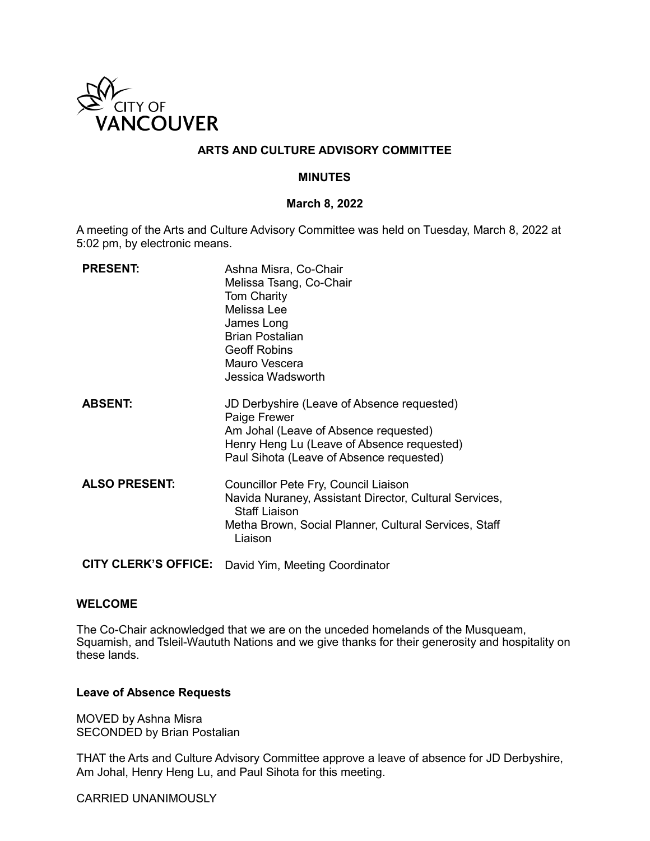

## **ARTS AND CULTURE ADVISORY COMMITTEE**

## **MINUTES**

#### **March 8, 2022**

A meeting of the Arts and Culture Advisory Committee was held on Tuesday, March 8, 2022 at 5:02 pm, by electronic means.

| <b>PRESENT:</b>             | Ashna Misra, Co-Chair<br>Melissa Tsang, Co-Chair<br><b>Tom Charity</b><br>Melissa Lee<br>James Long                                                                                           |
|-----------------------------|-----------------------------------------------------------------------------------------------------------------------------------------------------------------------------------------------|
|                             | <b>Brian Postalian</b><br><b>Geoff Robins</b>                                                                                                                                                 |
|                             | Mauro Vescera                                                                                                                                                                                 |
|                             | Jessica Wadsworth                                                                                                                                                                             |
| <b>ABSENT:</b>              | JD Derbyshire (Leave of Absence requested)<br>Paige Frewer<br>Am Johal (Leave of Absence requested)<br>Henry Heng Lu (Leave of Absence requested)<br>Paul Sihota (Leave of Absence requested) |
| <b>ALSO PRESENT:</b>        | Councillor Pete Fry, Council Liaison<br>Navida Nuraney, Assistant Director, Cultural Services,<br><b>Staff Liaison</b><br>Metha Brown, Social Planner, Cultural Services, Staff<br>Liaison    |
| <b>CITY CLERK'S OFFICE:</b> | David Yim, Meeting Coordinator                                                                                                                                                                |

#### **WELCOME**

The Co-Chair acknowledged that we are on the unceded homelands of the Musqueam, Squamish, and Tsleil-Waututh Nations and we give thanks for their generosity and hospitality on these lands.

#### **Leave of Absence Requests**

MOVED by Ashna Misra SECONDED by Brian Postalian

THAT the Arts and Culture Advisory Committee approve a leave of absence for JD Derbyshire, Am Johal, Henry Heng Lu, and Paul Sihota for this meeting.

CARRIED UNANIMOUSLY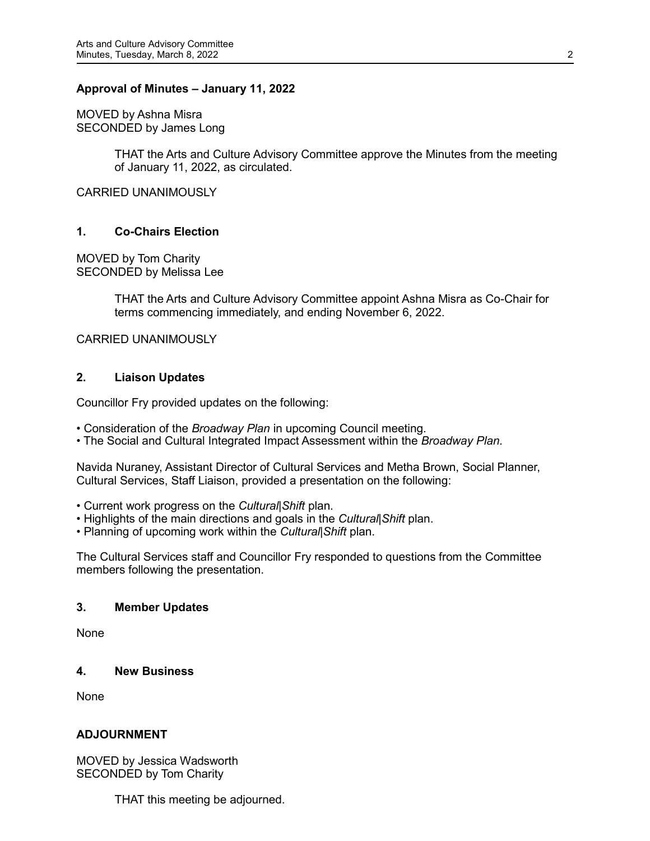## **Approval of Minutes – January 11, 2022**

MOVED by Ashna Misra SECONDED by James Long

> THAT the Arts and Culture Advisory Committee approve the Minutes from the meeting of January 11, 2022, as circulated.

CARRIED UNANIMOUSLY

## **1. Co-Chairs Election**

MOVED by Tom Charity SECONDED by Melissa Lee

> THAT the Arts and Culture Advisory Committee appoint Ashna Misra as Co-Chair for terms commencing immediately, and ending November 6, 2022.

CARRIED UNANIMOUSLY

#### **2. Liaison Updates**

Councillor Fry provided updates on the following:

- Consideration of the *Broadway Plan* in upcoming Council meeting.
- The Social and Cultural Integrated Impact Assessment within the *Broadway Plan.*

Navida Nuraney, Assistant Director of Cultural Services and Metha Brown, Social Planner, Cultural Services, Staff Liaison, provided a presentation on the following:

- Current work progress on the *Cultural|Shift* plan.
- Highlights of the main directions and goals in the *Cultural|Shift* plan.
- Planning of upcoming work within the *Cultural|Shift* plan.

The Cultural Services staff and Councillor Fry responded to questions from the Committee members following the presentation.

#### **3. Member Updates**

None

#### **4. New Business**

None

#### **ADJOURNMENT**

MOVED by Jessica Wadsworth SECONDED by Tom Charity

THAT this meeting be adjourned.